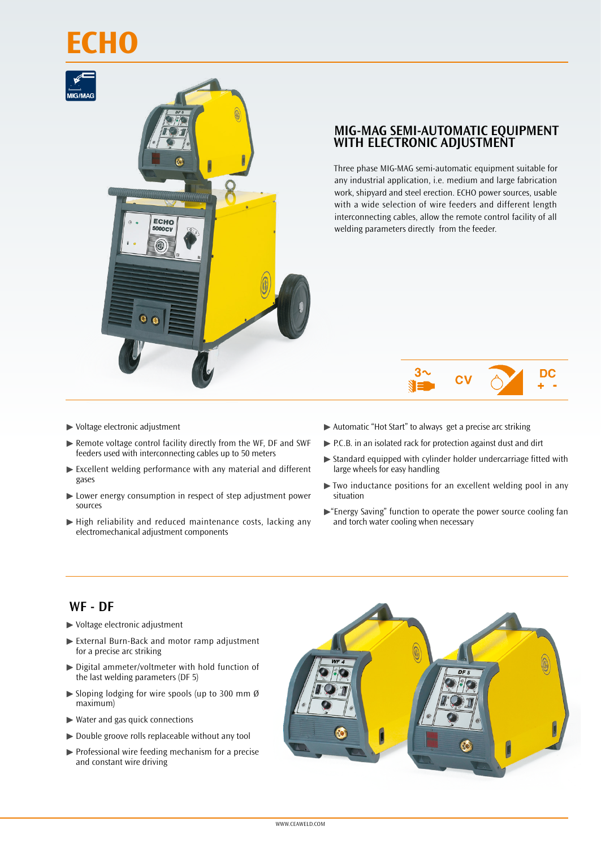# **ECHO**



## **MIG-MAG SEMI-AUTOMATIC EQUIPMENT WITH ELECTRONIC ADJUSTMENT**

Three phase MIG-MAG semi-automatic equipment suitable for any industrial application, i.e. medium and large fabrication work, shipyard and steel erection. ECHO power sources, usable with a wide selection of wire feeders and different length interconnecting cables, allow the remote control facility of all welding parameters directly from the feeder.

#### $3\sim$ DC C

- ▶ Voltage electronic adjustment
- ▶ Remote voltage control facility directly from the WF, DF and SWF feeders used with interconnecting cables up to 50 meters
- ▶ Excellent welding performance with any material and different gases
- ▶ Lower energy consumption in respect of step adjustment power sources
- $\blacktriangleright$  High reliability and reduced maintenance costs, lacking any electromechanical adjustment components
- ▶ Automatic "Hot Start" to always get a precise arc striking
- ▶ P.C.B. in an isolated rack for protection against dust and dirt
- ▶ Standard equipped with cylinder holder undercarriage fitted with large wheels for easy handling
- $\blacktriangleright$  Two inductance positions for an excellent welding pool in any situation
- $\blacktriangleright$  "Energy Saving" function to operate the power source cooling fan and torch water cooling when necessary

### **WF - DF**

- ▶ Voltage electronic adjustment
- ▶ External Burn-Back and motor ramp adjustment for a precise arc striking
- $\triangleright$  Digital ammeter/voltmeter with hold function of the last welding parameters (DF 5)
- $\blacktriangleright$  Sloping lodging for wire spools (up to 300 mm Ø maximum)
- $\blacktriangleright$  Water and gas quick connections
- ▶ Double groove rolls replaceable without any tool
- $\blacktriangleright$  Professional wire feeding mechanism for a precise and constant wire driving